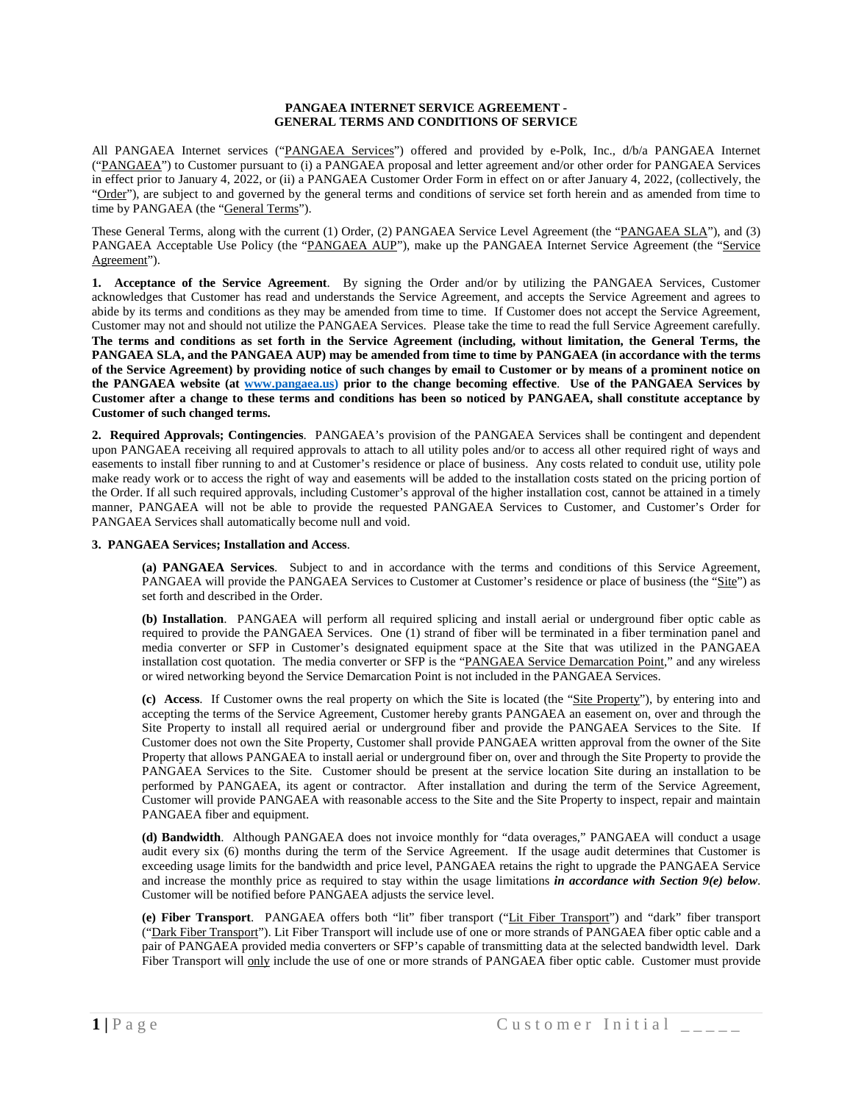## **PANGAEA INTERNET SERVICE AGREEMENT - GENERAL TERMS AND CONDITIONS OF SERVICE**

All PANGAEA Internet services ("PANGAEA Services") offered and provided by e-Polk, Inc., d/b/a PANGAEA Internet ("PANGAEA") to Customer pursuant to (i) a PANGAEA proposal and letter agreement and/or other order for PANGAEA Services in effect prior to January 4, 2022, or (ii) a PANGAEA Customer Order Form in effect on or after January 4, 2022, (collectively, the "Order"), are subject to and governed by the general terms and conditions of service set forth herein and as amended from time to time by PANGAEA (the "General Terms").

These General Terms, along with the current (1) Order, (2) PANGAEA Service Level Agreement (the "PANGAEA SLA"), and (3) PANGAEA Acceptable Use Policy (the "PANGAEA AUP"), make up the PANGAEA Internet Service Agreement (the "Service Agreement").

**1. Acceptance of the Service Agreement**. By signing the Order and/or by utilizing the PANGAEA Services, Customer acknowledges that Customer has read and understands the Service Agreement, and accepts the Service Agreement and agrees to abide by its terms and conditions as they may be amended from time to time. If Customer does not accept the Service Agreement, Customer may not and should not utilize the PANGAEA Services. Please take the time to read the full Service Agreement carefully. **The terms and conditions as set forth in the Service Agreement (including, without limitation, the General Terms, the PANGAEA SLA, and the PANGAEA AUP) may be amended from time to time by PANGAEA (in accordance with the terms of the Service Agreement) by providing notice of such changes by email to Customer or by means of a prominent notice on the PANGAEA website (at [www.pangaea.us\)](http://www.pangaea.us/) prior to the change becoming effective**. **Use of the PANGAEA Services by Customer after a change to these terms and conditions has been so noticed by PANGAEA, shall constitute acceptance by Customer of such changed terms.** 

**2. Required Approvals; Contingencies**. PANGAEA's provision of the PANGAEA Services shall be contingent and dependent upon PANGAEA receiving all required approvals to attach to all utility poles and/or to access all other required right of ways and easements to install fiber running to and at Customer's residence or place of business. Any costs related to conduit use, utility pole make ready work or to access the right of way and easements will be added to the installation costs stated on the pricing portion of the Order. If all such required approvals, including Customer's approval of the higher installation cost, cannot be attained in a timely manner, PANGAEA will not be able to provide the requested PANGAEA Services to Customer, and Customer's Order for PANGAEA Services shall automatically become null and void.

# **3. PANGAEA Services; Installation and Access**.

**(a) PANGAEA Services**. Subject to and in accordance with the terms and conditions of this Service Agreement, PANGAEA will provide the PANGAEA Services to Customer at Customer's residence or place of business (the "Site") as set forth and described in the Order.

**(b) Installation**. PANGAEA will perform all required splicing and install aerial or underground fiber optic cable as required to provide the PANGAEA Services. One (1) strand of fiber will be terminated in a fiber termination panel and media converter or SFP in Customer's designated equipment space at the Site that was utilized in the PANGAEA installation cost quotation. The media converter or SFP is the "PANGAEA Service Demarcation Point," and any wireless or wired networking beyond the Service Demarcation Point is not included in the PANGAEA Services.

**(c) Access**. If Customer owns the real property on which the Site is located (the "Site Property"), by entering into and accepting the terms of the Service Agreement, Customer hereby grants PANGAEA an easement on, over and through the Site Property to install all required aerial or underground fiber and provide the PANGAEA Services to the Site. If Customer does not own the Site Property, Customer shall provide PANGAEA written approval from the owner of the Site Property that allows PANGAEA to install aerial or underground fiber on, over and through the Site Property to provide the PANGAEA Services to the Site. Customer should be present at the service location Site during an installation to be performed by PANGAEA, its agent or contractor. After installation and during the term of the Service Agreement, Customer will provide PANGAEA with reasonable access to the Site and the Site Property to inspect, repair and maintain PANGAEA fiber and equipment.

**(d) Bandwidth**. Although PANGAEA does not invoice monthly for "data overages," PANGAEA will conduct a usage audit every six (6) months during the term of the Service Agreement. If the usage audit determines that Customer is exceeding usage limits for the bandwidth and price level, PANGAEA retains the right to upgrade the PANGAEA Service and increase the monthly price as required to stay within the usage limitations *in accordance with Section 9(e) below*. Customer will be notified before PANGAEA adjusts the service level.

**(e) Fiber Transport**. PANGAEA offers both "lit" fiber transport ("Lit Fiber Transport") and "dark" fiber transport ("Dark Fiber Transport"). Lit Fiber Transport will include use of one or more strands of PANGAEA fiber optic cable and a pair of PANGAEA provided media converters or SFP's capable of transmitting data at the selected bandwidth level. Dark Fiber Transport will only include the use of one or more strands of PANGAEA fiber optic cable. Customer must provide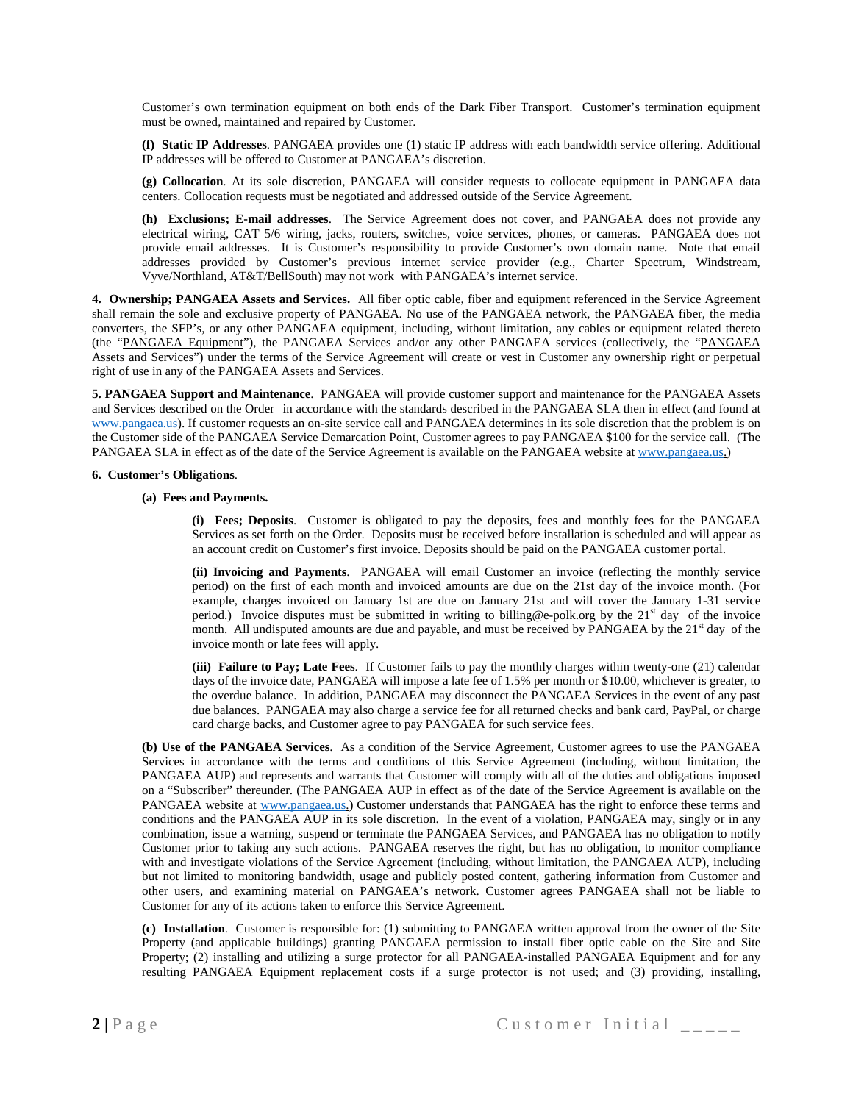Customer's own termination equipment on both ends of the Dark Fiber Transport. Customer's termination equipment must be owned, maintained and repaired by Customer.

**(f) Static IP Addresses**. PANGAEA provides one (1) static IP address with each bandwidth service offering. Additional IP addresses will be offered to Customer at PANGAEA's discretion.

**(g) Collocation**. At its sole discretion, PANGAEA will consider requests to collocate equipment in PANGAEA data centers. Collocation requests must be negotiated and addressed outside of the Service Agreement.

**(h) Exclusions; E-mail addresses**. The Service Agreement does not cover, and PANGAEA does not provide any electrical wiring, CAT 5/6 wiring, jacks, routers, switches, voice services, phones, or cameras. PANGAEA does not provide email addresses. It is Customer's responsibility to provide Customer's own domain name. Note that email addresses provided by Customer's previous internet service provider (e.g., Charter Spectrum, Windstream, Vyve/Northland, AT&T/BellSouth) may not work with PANGAEA's internet service.

**4. Ownership; PANGAEA Assets and Services.** All fiber optic cable, fiber and equipment referenced in the Service Agreement shall remain the sole and exclusive property of PANGAEA. No use of the PANGAEA network, the PANGAEA fiber, the media converters, the SFP's, or any other PANGAEA equipment, including, without limitation, any cables or equipment related thereto (the "PANGAEA Equipment"), the PANGAEA Services and/or any other PANGAEA services (collectively, the "PANGAEA Assets and Services") under the terms of the Service Agreement will create or vest in Customer any ownership right or perpetual right of use in any of the PANGAEA Assets and Services.

**5. PANGAEA Support and Maintenance**. PANGAEA will provide customer support and maintenance for the PANGAEA Assets and Services described on the Order in accordance with the standards described in the PANGAEA SLA then in effect (and found at [www.pangaea.us\)](http://www.pangaea.us/). If customer requests an on-site service call and PANGAEA determines in its sole discretion that the problem is on the Customer side of the PANGAEA Service Demarcation Point, Customer agrees to pay PANGAEA \$100 for the service call. (The PANGAEA SLA in effect as of the date of the Service Agreement is available on the PANGAEA website at [www.pangaea.us.\)](http://www.pangaea.us/)

## **6. Customer's Obligations**.

## **(a) Fees and Payments.**

**(i) Fees; Deposits**. Customer is obligated to pay the deposits, fees and monthly fees for the PANGAEA Services as set forth on the Order. Deposits must be received before installation is scheduled and will appear as an account credit on Customer's first invoice. Deposits should be paid on the PANGAEA customer portal.

**(ii) Invoicing and Payments**. PANGAEA will email Customer an invoice (reflecting the monthly service period) on the first of each month and invoiced amounts are due on the 21st day of the invoice month. (For example, charges invoiced on January 1st are due on January 21st and will cover the January 1-31 service period.) Invoice disputes must be submitted in writing to billing@e-polk.org by the 21<sup>st</sup> day of the invoice month. All undisputed amounts are due and payable, and must be received by PANGAEA by the 21<sup>st</sup> day of the invoice month or late fees will apply.

**(iii) Failure to Pay; Late Fees**. If Customer fails to pay the monthly charges within twenty-one (21) calendar days of the invoice date, PANGAEA will impose a late fee of 1.5% per month or \$10.00, whichever is greater, to the overdue balance. In addition, PANGAEA may disconnect the PANGAEA Services in the event of any past due balances. PANGAEA may also charge a service fee for all returned checks and bank card, PayPal, or charge card charge backs, and Customer agree to pay PANGAEA for such service fees.

**(b) Use of the PANGAEA Services**. As a condition of the Service Agreement, Customer agrees to use the PANGAEA Services in accordance with the terms and conditions of this Service Agreement (including, without limitation, the PANGAEA AUP) and represents and warrants that Customer will comply with all of the duties and obligations imposed on a "Subscriber" thereunder. (The PANGAEA AUP in effect as of the date of the Service Agreement is available on the PANGAEA website at [www.pangaea.us.\)](http://www.pangaea.us/) Customer understands that PANGAEA has the right to enforce these terms and conditions and the PANGAEA AUP in its sole discretion. In the event of a violation, PANGAEA may, singly or in any combination, issue a warning, suspend or terminate the PANGAEA Services, and PANGAEA has no obligation to notify Customer prior to taking any such actions. PANGAEA reserves the right, but has no obligation, to monitor compliance with and investigate violations of the Service Agreement (including, without limitation, the PANGAEA AUP), including but not limited to monitoring bandwidth, usage and publicly posted content, gathering information from Customer and other users, and examining material on PANGAEA's network. Customer agrees PANGAEA shall not be liable to Customer for any of its actions taken to enforce this Service Agreement.

**(c) Installation**. Customer is responsible for: (1) submitting to PANGAEA written approval from the owner of the Site Property (and applicable buildings) granting PANGAEA permission to install fiber optic cable on the Site and Site Property; (2) installing and utilizing a surge protector for all PANGAEA-installed PANGAEA Equipment and for any resulting PANGAEA Equipment replacement costs if a surge protector is not used; and (3) providing, installing,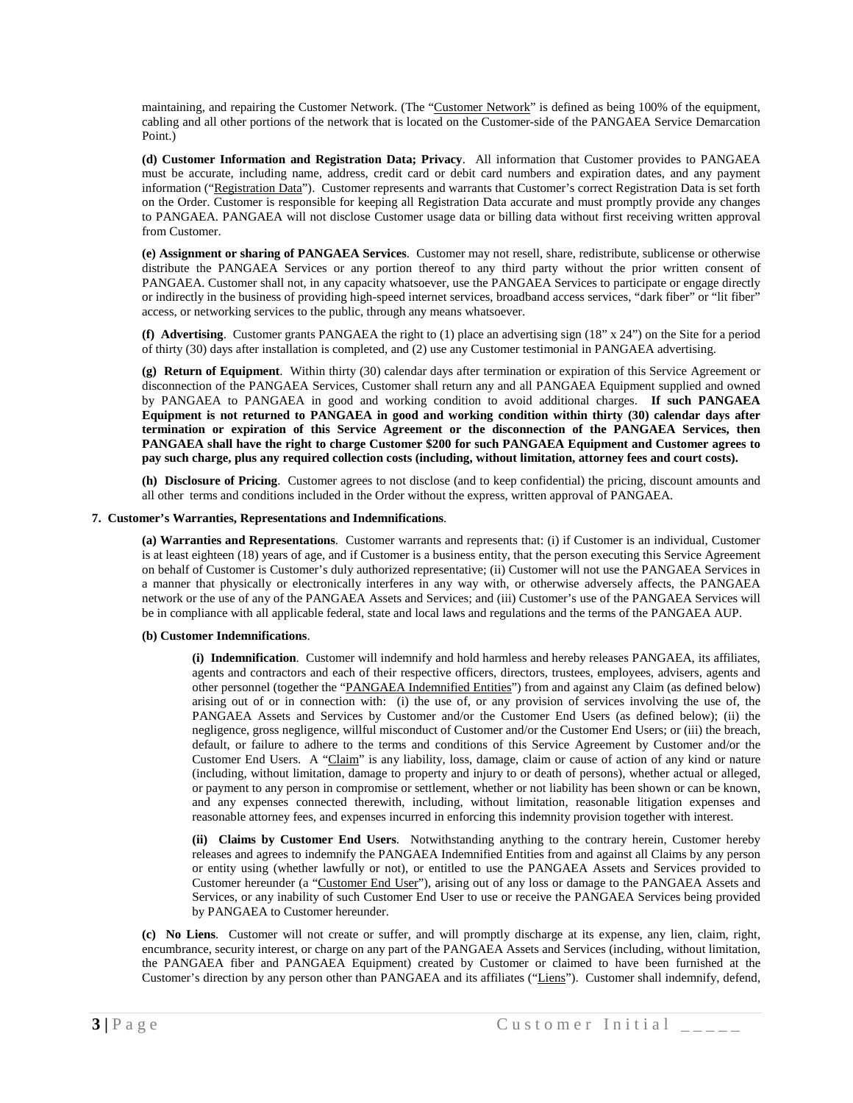maintaining, and repairing the Customer Network. (The "Customer Network" is defined as being 100% of the equipment, cabling and all other portions of the network that is located on the Customer-side of the PANGAEA Service Demarcation Point.)

**(d) Customer Information and Registration Data; Privacy**. All information that Customer provides to PANGAEA must be accurate, including name, address, credit card or debit card numbers and expiration dates, and any payment information ("Registration Data"). Customer represents and warrants that Customer's correct Registration Data is set forth on the Order. Customer is responsible for keeping all Registration Data accurate and must promptly provide any changes to PANGAEA. PANGAEA will not disclose Customer usage data or billing data without first receiving written approval from Customer.

**(e) Assignment or sharing of PANGAEA Services**. Customer may not resell, share, redistribute, sublicense or otherwise distribute the PANGAEA Services or any portion thereof to any third party without the prior written consent of PANGAEA. Customer shall not, in any capacity whatsoever, use the PANGAEA Services to participate or engage directly or indirectly in the business of providing high-speed internet services, broadband access services, "dark fiber" or "lit fiber" access, or networking services to the public, through any means whatsoever.

**(f) Advertising**. Customer grants PANGAEA the right to (1) place an advertising sign (18" x 24") on the Site for a period of thirty (30) days after installation is completed, and (2) use any Customer testimonial in PANGAEA advertising.

**(g) Return of Equipment**. Within thirty (30) calendar days after termination or expiration of this Service Agreement or disconnection of the PANGAEA Services, Customer shall return any and all PANGAEA Equipment supplied and owned by PANGAEA to PANGAEA in good and working condition to avoid additional charges. **If such PANGAEA Equipment is not returned to PANGAEA in good and working condition within thirty (30) calendar days after termination or expiration of this Service Agreement or the disconnection of the PANGAEA Services, then PANGAEA shall have the right to charge Customer \$200 for such PANGAEA Equipment and Customer agrees to pay such charge, plus any required collection costs (including, without limitation, attorney fees and court costs).**

**(h) Disclosure of Pricing**. Customer agrees to not disclose (and to keep confidential) the pricing, discount amounts and all other terms and conditions included in the Order without the express, written approval of PANGAEA.

## **7. Customer's Warranties, Representations and Indemnifications**.

**(a) Warranties and Representations**. Customer warrants and represents that: (i) if Customer is an individual, Customer is at least eighteen (18) years of age, and if Customer is a business entity, that the person executing this Service Agreement on behalf of Customer is Customer's duly authorized representative; (ii) Customer will not use the PANGAEA Services in a manner that physically or electronically interferes in any way with, or otherwise adversely affects, the PANGAEA network or the use of any of the PANGAEA Assets and Services; and (iii) Customer's use of the PANGAEA Services will be in compliance with all applicable federal, state and local laws and regulations and the terms of the PANGAEA AUP.

#### **(b) Customer Indemnifications**.

**(i) Indemnification**. Customer will indemnify and hold harmless and hereby releases PANGAEA, its affiliates, agents and contractors and each of their respective officers, directors, trustees, employees, advisers, agents and other personnel (together the "PANGAEA Indemnified Entities") from and against any Claim (as defined below) arising out of or in connection with: (i) the use of, or any provision of services involving the use of, the PANGAEA Assets and Services by Customer and/or the Customer End Users (as defined below); (ii) the negligence, gross negligence, willful misconduct of Customer and/or the Customer End Users; or (iii) the breach, default, or failure to adhere to the terms and conditions of this Service Agreement by Customer and/or the Customer End Users. A "Claim" is any liability, loss, damage, claim or cause of action of any kind or nature (including, without limitation, damage to property and injury to or death of persons), whether actual or alleged, or payment to any person in compromise or settlement, whether or not liability has been shown or can be known, and any expenses connected therewith, including, without limitation, reasonable litigation expenses and reasonable attorney fees, and expenses incurred in enforcing this indemnity provision together with interest.

**(ii) Claims by Customer End Users**. Notwithstanding anything to the contrary herein, Customer hereby releases and agrees to indemnify the PANGAEA Indemnified Entities from and against all Claims by any person or entity using (whether lawfully or not), or entitled to use the PANGAEA Assets and Services provided to Customer hereunder (a "Customer End User"), arising out of any loss or damage to the PANGAEA Assets and Services, or any inability of such Customer End User to use or receive the PANGAEA Services being provided by PANGAEA to Customer hereunder.

**(c) No Liens**. Customer will not create or suffer, and will promptly discharge at its expense, any lien, claim, right, encumbrance, security interest, or charge on any part of the PANGAEA Assets and Services (including, without limitation, the PANGAEA fiber and PANGAEA Equipment) created by Customer or claimed to have been furnished at the Customer's direction by any person other than PANGAEA and its affiliates ("Liens"). Customer shall indemnify, defend,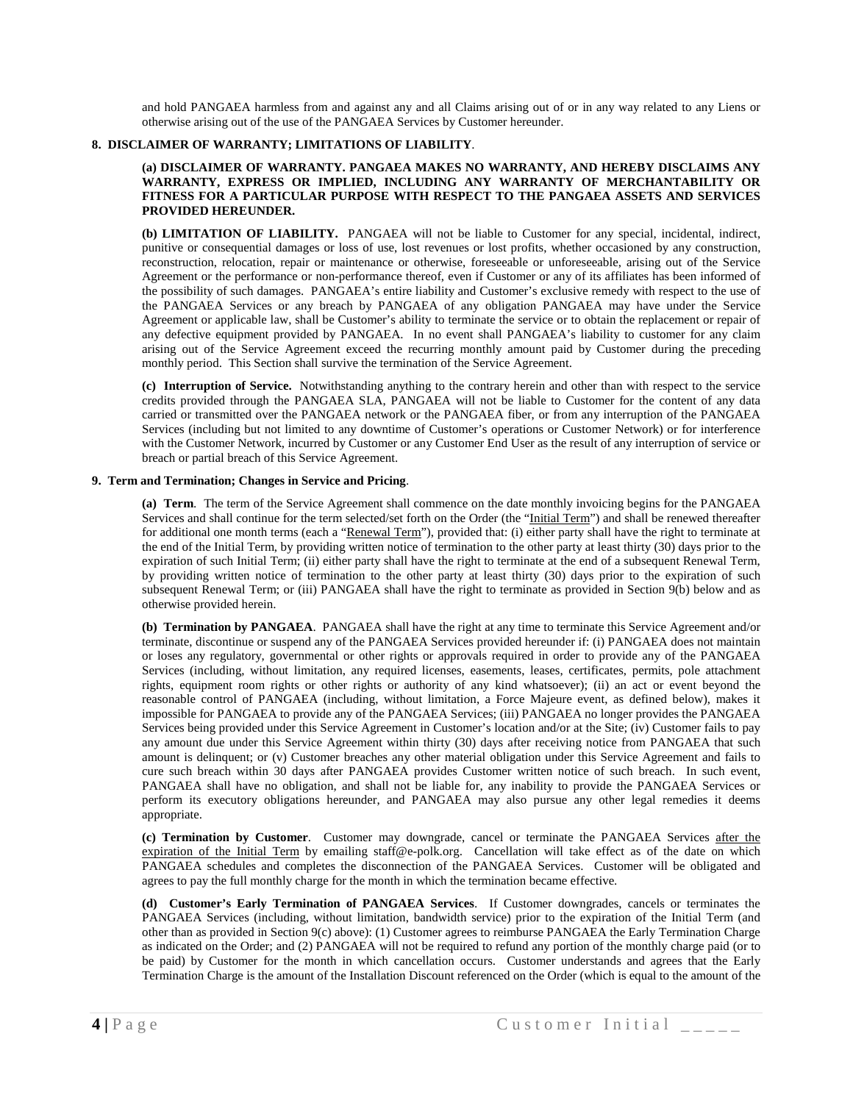and hold PANGAEA harmless from and against any and all Claims arising out of or in any way related to any Liens or otherwise arising out of the use of the PANGAEA Services by Customer hereunder.

# **8. DISCLAIMER OF WARRANTY; LIMITATIONS OF LIABILITY**.

## **(a) DISCLAIMER OF WARRANTY. PANGAEA MAKES NO WARRANTY, AND HEREBY DISCLAIMS ANY WARRANTY, EXPRESS OR IMPLIED, INCLUDING ANY WARRANTY OF MERCHANTABILITY OR FITNESS FOR A PARTICULAR PURPOSE WITH RESPECT TO THE PANGAEA ASSETS AND SERVICES PROVIDED HEREUNDER.**

**(b) LIMITATION OF LIABILITY.** PANGAEA will not be liable to Customer for any special, incidental, indirect, punitive or consequential damages or loss of use, lost revenues or lost profits, whether occasioned by any construction, reconstruction, relocation, repair or maintenance or otherwise, foreseeable or unforeseeable, arising out of the Service Agreement or the performance or non-performance thereof, even if Customer or any of its affiliates has been informed of the possibility of such damages.PANGAEA's entire liability and Customer's exclusive remedy with respect to the use of the PANGAEA Services or any breach by PANGAEA of any obligation PANGAEA may have under the Service Agreement or applicable law, shall be Customer's ability to terminate the service or to obtain the replacement or repair of any defective equipment provided by PANGAEA. In no event shall PANGAEA's liability to customer for any claim arising out of the Service Agreement exceed the recurring monthly amount paid by Customer during the preceding monthly period. This Section shall survive the termination of the Service Agreement.

**(c) Interruption of Service.** Notwithstanding anything to the contrary herein and other than with respect to the service credits provided through the PANGAEA SLA, PANGAEA will not be liable to Customer for the content of any data carried or transmitted over the PANGAEA network or the PANGAEA fiber, or from any interruption of the PANGAEA Services (including but not limited to any downtime of Customer's operations or Customer Network) or for interference with the Customer Network, incurred by Customer or any Customer End User as the result of any interruption of service or breach or partial breach of this Service Agreement.

## **9. Term and Termination; Changes in Service and Pricing**.

**(a) Term**. The term of the Service Agreement shall commence on the date monthly invoicing begins for the PANGAEA Services and shall continue for the term selected/set forth on the Order (the "Initial Term") and shall be renewed thereafter for additional one month terms (each a "Renewal Term"), provided that: (i) either party shall have the right to terminate at the end of the Initial Term, by providing written notice of termination to the other party at least thirty (30) days prior to the expiration of such Initial Term; (ii) either party shall have the right to terminate at the end of a subsequent Renewal Term, by providing written notice of termination to the other party at least thirty (30) days prior to the expiration of such subsequent Renewal Term; or (iii) PANGAEA shall have the right to terminate as provided in Section 9(b) below and as otherwise provided herein.

**(b) Termination by PANGAEA**. PANGAEA shall have the right at any time to terminate this Service Agreement and/or terminate, discontinue or suspend any of the PANGAEA Services provided hereunder if: (i) PANGAEA does not maintain or loses any regulatory, governmental or other rights or approvals required in order to provide any of the PANGAEA Services (including, without limitation, any required licenses, easements, leases, certificates, permits, pole attachment rights, equipment room rights or other rights or authority of any kind whatsoever); (ii) an act or event beyond the reasonable control of PANGAEA (including, without limitation, a Force Majeure event, as defined below), makes it impossible for PANGAEA to provide any of the PANGAEA Services; (iii) PANGAEA no longer provides the PANGAEA Services being provided under this Service Agreement in Customer's location and/or at the Site; (iv) Customer fails to pay any amount due under this Service Agreement within thirty (30) days after receiving notice from PANGAEA that such amount is delinquent; or (v) Customer breaches any other material obligation under this Service Agreement and fails to cure such breach within 30 days after PANGAEA provides Customer written notice of such breach. In such event, PANGAEA shall have no obligation, and shall not be liable for, any inability to provide the PANGAEA Services or perform its executory obligations hereunder, and PANGAEA may also pursue any other legal remedies it deems appropriate.

**(c) Termination by Customer**. Customer may downgrade, cancel or terminate the PANGAEA Services after the expiration of the Initial Term by emailing staff@e-polk.org. Cancellation will take effect as of the date on which PANGAEA schedules and completes the disconnection of the PANGAEA Services. Customer will be obligated and agrees to pay the full monthly charge for the month in which the termination became effective.

**(d) Customer's Early Termination of PANGAEA Services**. If Customer downgrades, cancels or terminates the PANGAEA Services (including, without limitation, bandwidth service) prior to the expiration of the Initial Term (and other than as provided in Section 9(c) above): (1) Customer agrees to reimburse PANGAEA the Early Termination Charge as indicated on the Order; and (2) PANGAEA will not be required to refund any portion of the monthly charge paid (or to be paid) by Customer for the month in which cancellation occurs. Customer understands and agrees that the Early Termination Charge is the amount of the Installation Discount referenced on the Order (which is equal to the amount of the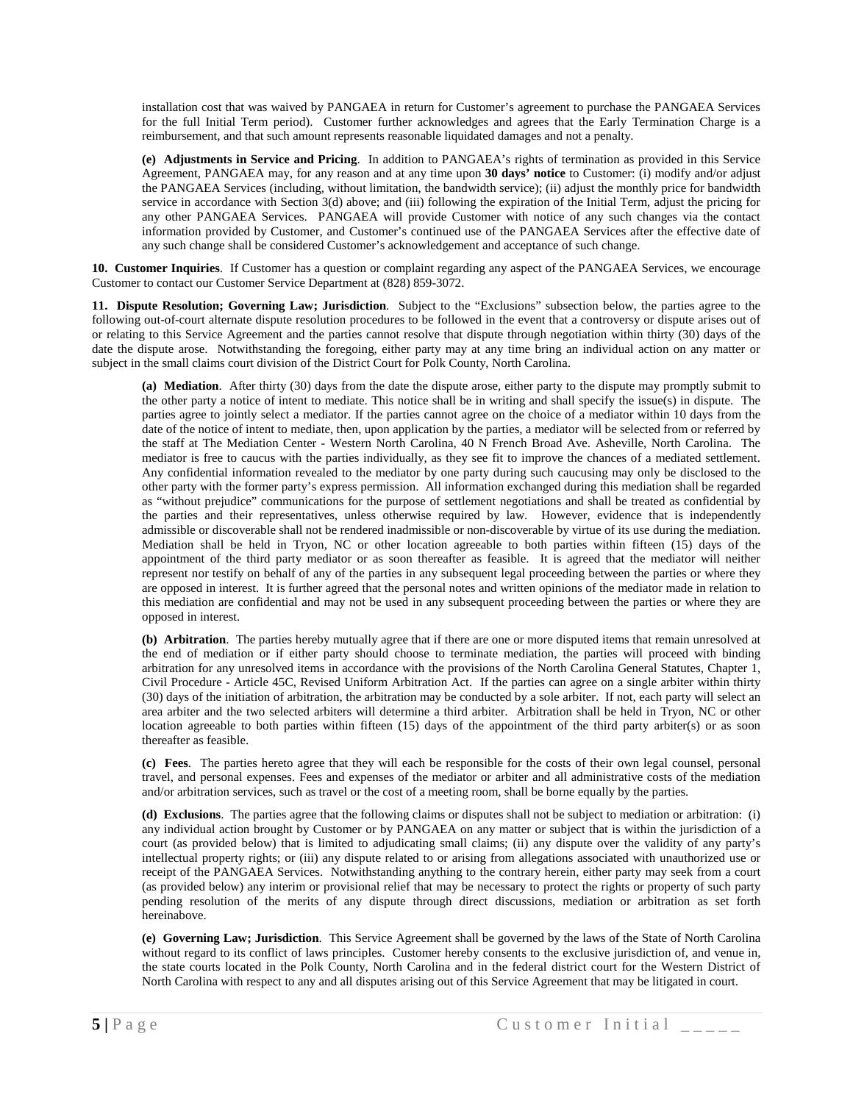installation cost that was waived by PANGAEA in return for Customer's agreement to purchase the PANGAEA Services for the full Initial Term period). Customer further acknowledges and agrees that the Early Termination Charge is a reimbursement, and that such amount represents reasonable liquidated damages and not a penalty.

**(e) Adjustments in Service and Pricing**. In addition to PANGAEA's rights of termination as provided in this Service Agreement, PANGAEA may, for any reason and at any time upon **30 days' notice** to Customer: (i) modify and/or adjust the PANGAEA Services (including, without limitation, the bandwidth service); (ii) adjust the monthly price for bandwidth service in accordance with Section 3(d) above; and (iii) following the expiration of the Initial Term, adjust the pricing for any other PANGAEA Services. PANGAEA will provide Customer with notice of any such changes via the contact information provided by Customer, and Customer's continued use of the PANGAEA Services after the effective date of any such change shall be considered Customer's acknowledgement and acceptance of such change.

**10. Customer Inquiries**. If Customer has a question or complaint regarding any aspect of the PANGAEA Services, we encourage Customer to contact our Customer Service Department at (828) 859-3072.

**11. Dispute Resolution; Governing Law; Jurisdiction**. Subject to the "Exclusions" subsection below, the parties agree to the following out-of-court alternate dispute resolution procedures to be followed in the event that a controversy or dispute arises out of or relating to this Service Agreement and the parties cannot resolve that dispute through negotiation within thirty (30) days of the date the dispute arose. Notwithstanding the foregoing, either party may at any time bring an individual action on any matter or subject in the small claims court division of the District Court for Polk County, North Carolina.

**(a) Mediation**. After thirty (30) days from the date the dispute arose, either party to the dispute may promptly submit to the other party a notice of intent to mediate. This notice shall be in writing and shall specify the issue(s) in dispute. The parties agree to jointly select a mediator. If the parties cannot agree on the choice of a mediator within 10 days from the date of the notice of intent to mediate, then, upon application by the parties, a mediator will be selected from or referred by the staff at The Mediation Center - Western North Carolina, 40 N French Broad Ave. Asheville, North Carolina. The mediator is free to caucus with the parties individually, as they see fit to improve the chances of a mediated settlement. Any confidential information revealed to the mediator by one party during such caucusing may only be disclosed to the other party with the former party's express permission. All information exchanged during this mediation shall be regarded as "without prejudice" communications for the purpose of settlement negotiations and shall be treated as confidential by the parties and their representatives, unless otherwise required by law. However, evidence that is independently admissible or discoverable shall not be rendered inadmissible or non-discoverable by virtue of its use during the mediation. Mediation shall be held in Tryon, NC or other location agreeable to both parties within fifteen (15) days of the appointment of the third party mediator or as soon thereafter as feasible. It is agreed that the mediator will neither represent nor testify on behalf of any of the parties in any subsequent legal proceeding between the parties or where they are opposed in interest. It is further agreed that the personal notes and written opinions of the mediator made in relation to this mediation are confidential and may not be used in any subsequent proceeding between the parties or where they are opposed in interest.

**(b) Arbitration**. The parties hereby mutually agree that if there are one or more disputed items that remain unresolved at the end of mediation or if either party should choose to terminate mediation, the parties will proceed with binding arbitration for any unresolved items in accordance with the provisions of the North Carolina General Statutes, Chapter 1, Civil Procedure - Article 45C, Revised Uniform Arbitration Act. If the parties can agree on a single arbiter within thirty (30) days of the initiation of arbitration, the arbitration may be conducted by a sole arbiter. If not, each party will select an area arbiter and the two selected arbiters will determine a third arbiter. Arbitration shall be held in Tryon, NC or other location agreeable to both parties within fifteen (15) days of the appointment of the third party arbiter(s) or as soon thereafter as feasible.

**(c) Fees**. The parties hereto agree that they will each be responsible for the costs of their own legal counsel, personal travel, and personal expenses. Fees and expenses of the mediator or arbiter and all administrative costs of the mediation and/or arbitration services, such as travel or the cost of a meeting room, shall be borne equally by the parties.

**(d) Exclusions**. The parties agree that the following claims or disputes shall not be subject to mediation or arbitration: (i) any individual action brought by Customer or by PANGAEA on any matter or subject that is within the jurisdiction of a court (as provided below) that is limited to adjudicating small claims; (ii) any dispute over the validity of any party's intellectual property rights; or (iii) any dispute related to or arising from allegations associated with unauthorized use or receipt of the PANGAEA Services. Notwithstanding anything to the contrary herein, either party may seek from a court (as provided below) any interim or provisional relief that may be necessary to protect the rights or property of such party pending resolution of the merits of any dispute through direct discussions, mediation or arbitration as set forth hereinabove.

**(e) Governing Law; Jurisdiction**. This Service Agreement shall be governed by the laws of the State of North Carolina without regard to its conflict of laws principles. Customer hereby consents to the exclusive jurisdiction of, and venue in, the state courts located in the Polk County, North Carolina and in the federal district court for the Western District of North Carolina with respect to any and all disputes arising out of this Service Agreement that may be litigated in court.